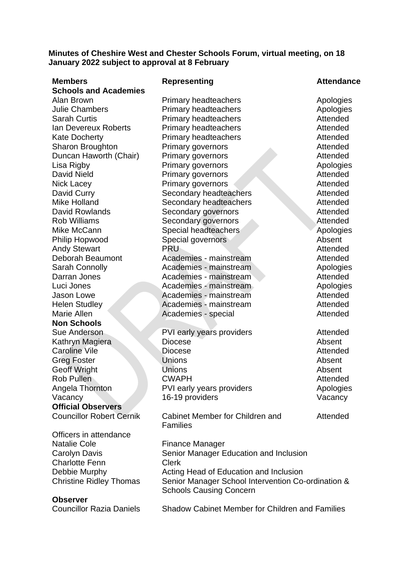# **Minutes of Cheshire West and Chester Schools Forum, virtual meeting, on 18 January 2022 subject to approval at 8 February**

| <b>Members</b>                  | <b>Representing</b>                                    | <b>Attendance</b> |
|---------------------------------|--------------------------------------------------------|-------------------|
| <b>Schools and Academies</b>    |                                                        |                   |
| Alan Brown                      | <b>Primary headteachers</b>                            | Apologies         |
| <b>Julie Chambers</b>           | <b>Primary headteachers</b>                            | Apologies         |
| <b>Sarah Curtis</b>             | <b>Primary headteachers</b>                            | Attended          |
| Ian Devereux Roberts            | Primary headteachers                                   | Attended          |
| <b>Kate Docherty</b>            | <b>Primary headteachers</b>                            | Attended          |
| <b>Sharon Broughton</b>         | Primary governors                                      | Attended          |
| Duncan Haworth (Chair)          | Primary governors                                      | Attended          |
| Lisa Rigby                      | Primary governors                                      | Apologies         |
| <b>David Nield</b>              | <b>Primary governors</b>                               | Attended          |
| Nick Lacey                      | Primary governors                                      | Attended          |
| David Curry                     | Secondary headteachers                                 | Attended          |
| <b>Mike Holland</b>             | Secondary headteachers                                 | Attended          |
| <b>David Rowlands</b>           | Secondary governors                                    | Attended          |
| <b>Rob Williams</b>             | Secondary governors                                    | Attended          |
| Mike McCann                     | Special headteachers                                   | Apologies         |
| Philip Hopwood                  | Special governors                                      | Absent            |
| <b>Andy Stewart</b>             | <b>PRU</b>                                             | Attended          |
| Deborah Beaumont                | Academies - mainstream                                 | Attended          |
| <b>Sarah Connolly</b>           | Academies - mainstream                                 | Apologies         |
| Darran Jones                    | Academies - mainstream                                 | Attended          |
| Luci Jones                      | Academies - mainstream                                 | Apologies         |
| Jason Lowe                      | Academies - mainstream                                 | Attended          |
| <b>Helen Studley</b>            | Academies - mainstream                                 | <b>Attended</b>   |
| Marie Allen                     | Academies - special                                    | Attended          |
| <b>Non Schools</b>              |                                                        |                   |
| Sue Anderson                    | PVI early years providers                              | Attended          |
| Kathryn Magiera                 | <b>Diocese</b>                                         | Absent            |
| <b>Caroline Vile</b>            | <b>Diocese</b>                                         | Attended          |
| <b>Greg Foster</b>              | <b>Unions</b>                                          | Absent            |
| <b>Geoff Wright</b>             | <b>Unions</b>                                          | Absent            |
| <b>Rob Pullen</b>               | <b>CWAPH</b>                                           | Attended          |
| Angela Thornton                 | PVI early years providers                              | Apologies         |
| Vacancy                         | 16-19 providers                                        | Vacancy           |
| <b>Official Observers</b>       |                                                        |                   |
| <b>Councillor Robert Cernik</b> | Cabinet Member for Children and<br><b>Families</b>     | Attended          |
| Officers in attendance          |                                                        |                   |
| <b>Natalie Cole</b>             | <b>Finance Manager</b>                                 |                   |
| Carolyn Davis                   | Senior Manager Education and Inclusion                 |                   |
| <b>Charlotte Fenn</b>           | <b>Clerk</b>                                           |                   |
| Debbie Murphy                   | Acting Head of Education and Inclusion                 |                   |
| <b>Christine Ridley Thomas</b>  | Senior Manager School Intervention Co-ordination &     |                   |
|                                 | <b>Schools Causing Concern</b>                         |                   |
| <b>Observer</b>                 |                                                        |                   |
| <b>Councillor Razia Daniels</b> | <b>Shadow Cabinet Member for Children and Families</b> |                   |
|                                 |                                                        |                   |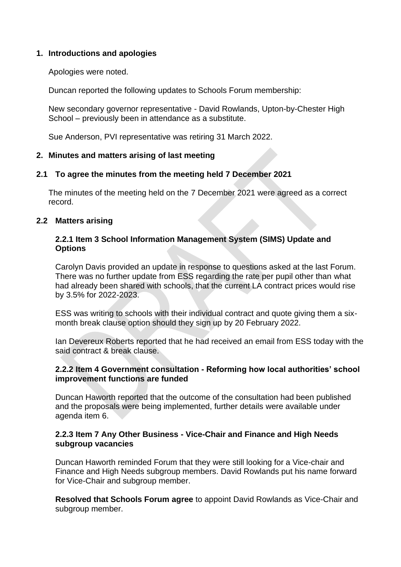# **1. Introductions and apologies**

Apologies were noted.

Duncan reported the following updates to Schools Forum membership:

New secondary governor representative - David Rowlands, Upton-by-Chester High School – previously been in attendance as a substitute.

Sue Anderson, PVI representative was retiring 31 March 2022.

# **2. Minutes and matters arising of last meeting**

# **2.1 To agree the minutes from the meeting held 7 December 2021**

The minutes of the meeting held on the 7 December 2021 were agreed as a correct record.

# **2.2 Matters arising**

# **2.2.1 Item 3 School Information Management System (SIMS) Update and Options**

Carolyn Davis provided an update in response to questions asked at the last Forum. There was no further update from ESS regarding the rate per pupil other than what had already been shared with schools, that the current LA contract prices would rise by 3.5% for 2022-2023.

ESS was writing to schools with their individual contract and quote giving them a sixmonth break clause option should they sign up by 20 February 2022.

Ian Devereux Roberts reported that he had received an email from ESS today with the said contract & break clause.

# **2.2.2 Item 4 Government consultation - Reforming how local authorities' school improvement functions are funded**

Duncan Haworth reported that the outcome of the consultation had been published and the proposals were being implemented, further details were available under agenda item 6.

# **2.2.3 Item 7 Any Other Business - Vice-Chair and Finance and High Needs subgroup vacancies**

Duncan Haworth reminded Forum that they were still looking for a Vice-chair and Finance and High Needs subgroup members. David Rowlands put his name forward for Vice-Chair and subgroup member.

**Resolved that Schools Forum agree** to appoint David Rowlands as Vice-Chair and subgroup member.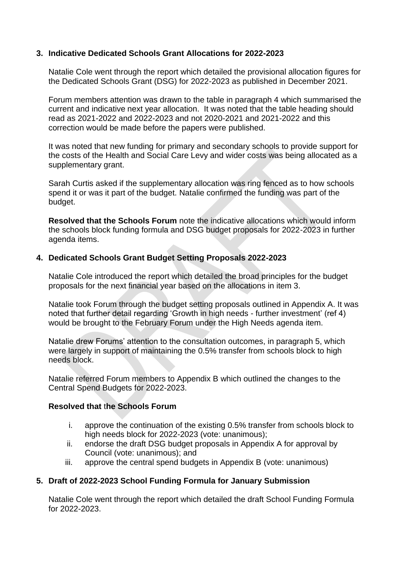# **3. Indicative Dedicated Schools Grant Allocations for 2022-2023**

Natalie Cole went through the report which detailed the provisional allocation figures for the Dedicated Schools Grant (DSG) for 2022-2023 as published in December 2021.

Forum members attention was drawn to the table in paragraph 4 which summarised the current and indicative next year allocation. It was noted that the table heading should read as 2021-2022 and 2022-2023 and not 2020-2021 and 2021-2022 and this correction would be made before the papers were published.

It was noted that new funding for primary and secondary schools to provide support for the costs of the Health and Social Care Levy and wider costs was being allocated as a supplementary grant.

Sarah Curtis asked if the supplementary allocation was ring fenced as to how schools spend it or was it part of the budget. Natalie confirmed the funding was part of the budget.

**Resolved that the Schools Forum** note the indicative allocations which would inform the schools block funding formula and DSG budget proposals for 2022-2023 in further agenda items.

# **4. Dedicated Schools Grant Budget Setting Proposals 2022-2023**

Natalie Cole introduced the report which detailed the broad principles for the budget proposals for the next financial year based on the allocations in item 3.

Natalie took Forum through the budget setting proposals outlined in Appendix A. It was noted that further detail regarding 'Growth in high needs - further investment' (ref 4) would be brought to the February Forum under the High Needs agenda item.

Natalie drew Forums' attention to the consultation outcomes, in paragraph 5, which were largely in support of maintaining the 0.5% transfer from schools block to high needs block.

Natalie referred Forum members to Appendix B which outlined the changes to the Central Spend Budgets for 2022-2023.

# **Resolved that** t**he Schools Forum**

- i. approve the continuation of the existing 0.5% transfer from schools block to high needs block for 2022-2023 (vote: unanimous);
- ii. endorse the draft DSG budget proposals in Appendix A for approval by Council (vote: unanimous); and
- iii. approve the central spend budgets in Appendix B (vote: unanimous)

# **5. Draft of 2022-2023 School Funding Formula for January Submission**

Natalie Cole went through the report which detailed the draft School Funding Formula for 2022-2023.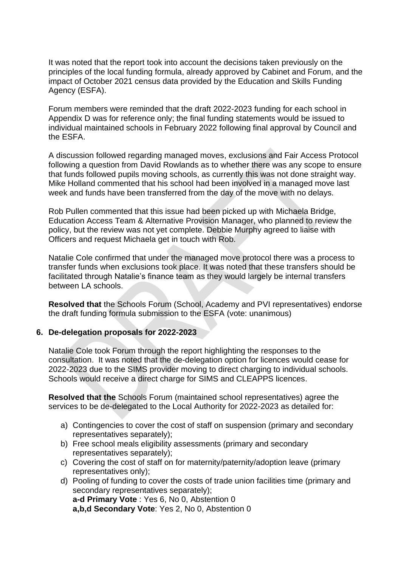It was noted that the report took into account the decisions taken previously on the principles of the local funding formula, already approved by Cabinet and Forum, and the impact of October 2021 census data provided by the Education and Skills Funding Agency (ESFA).

Forum members were reminded that the draft 2022-2023 funding for each school in Appendix D was for reference only; the final funding statements would be issued to individual maintained schools in February 2022 following final approval by Council and the ESFA.

A discussion followed regarding managed moves, exclusions and Fair Access Protocol following a question from David Rowlands as to whether there was any scope to ensure that funds followed pupils moving schools, as currently this was not done straight way. Mike Holland commented that his school had been involved in a managed move last week and funds have been transferred from the day of the move with no delays.

Rob Pullen commented that this issue had been picked up with Michaela Bridge, Education Access Team & Alternative Provision Manager, who planned to review the policy, but the review was not yet complete. Debbie Murphy agreed to liaise with Officers and request Michaela get in touch with Rob.

Natalie Cole confirmed that under the managed move protocol there was a process to transfer funds when exclusions took place. It was noted that these transfers should be facilitated through Natalie's finance team as they would largely be internal transfers between LA schools.

**Resolved that** the Schools Forum (School, Academy and PVI representatives) endorse the draft funding formula submission to the ESFA (vote: unanimous)

# **6. De-delegation proposals for 2022-2023**

Natalie Cole took Forum through the report highlighting the responses to the consultation. It was noted that the de-delegation option for licences would cease for 2022-2023 due to the SIMS provider moving to direct charging to individual schools. Schools would receive a direct charge for SIMS and CLEAPPS licences.

**Resolved that the** Schools Forum (maintained school representatives) agree the services to be de-delegated to the Local Authority for 2022-2023 as detailed for:

- a) Contingencies to cover the cost of staff on suspension (primary and secondary representatives separately);
- b) Free school meals eligibility assessments (primary and secondary representatives separately);
- c) Covering the cost of staff on for maternity/paternity/adoption leave (primary representatives only);
- d) Pooling of funding to cover the costs of trade union facilities time (primary and secondary representatives separately); **a-d Primary Vote** : Yes 6, No 0, Abstention 0 **a,b,d Secondary Vote**: Yes 2, No 0, Abstention 0